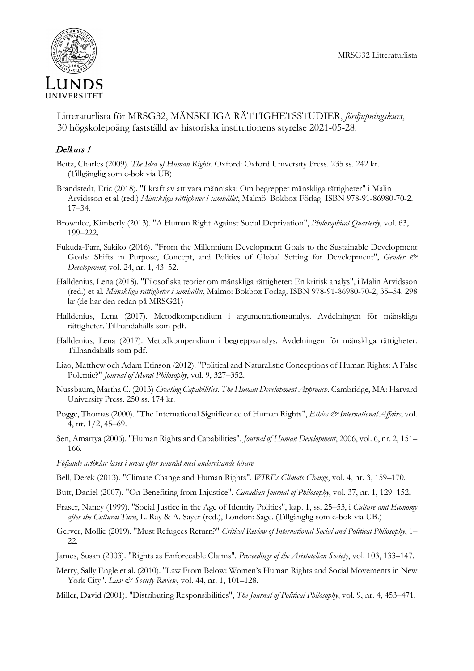

Litteraturlista för MRSG32, MÄNSKLIGA RÄTTIGHETSSTUDIER, *fördjupningskurs*, 30 högskolepoäng fastställd av historiska institutionens styrelse 2021-05-28.

## Delkurs 1

- Beitz, Charles (2009). *The Idea of Human Rights*. Oxford: Oxford University Press. 235 ss. 242 kr. (Tillgänglig som e-bok via UB)
- Brandstedt, Eric (2018). "I kraft av att vara människa: Om begreppet mänskliga rättigheter" i Malin Arvidsson et al (red.) *Mänskliga rättigheter i samhället*, Malmö: Bokbox Förlag. ISBN 978-91-86980-70-2. 17–34.
- Brownlee, Kimberly (2013). "A Human Right Against Social Deprivation", *Philosophical Quarterly*, vol. 63, 199–222.
- Fukuda-Parr, Sakiko (2016). "From the Millennium Development Goals to the Sustainable Development Goals: Shifts in Purpose, Concept, and Politics of Global Setting for Development", *Gender & Development*, vol. 24, nr. 1, 43–52.
- Halldenius, Lena (2018). "Filosofiska teorier om mänskliga rättigheter: En kritisk analys", i Malin Arvidsson (red.) et al. *Mänskliga rättigheter i samhället*, Malmö: Bokbox Förlag. ISBN 978-91-86980-70-2, 35–54. 298 kr (de har den redan på MRSG21)
- Halldenius, Lena (2017). Metodkompendium i argumentationsanalys. Avdelningen för mänskliga rättigheter. Tillhandahålls som pdf.
- Halldenius, Lena (2017). Metodkompendium i begreppsanalys. Avdelningen för mänskliga rättigheter. Tillhandahålls som pdf.
- Liao, Matthew och Adam Etinson (2012). "Political and Naturalistic Conceptions of Human Rights: A False Polemic?" *Journal of Moral Philosophy*, vol. 9, 327–352.
- Nussbaum, Martha C. (2013) *Creating Capabilities. The Human Development Approach*. Cambridge, MA: Harvard University Press. 250 ss. 174 kr.
- Pogge, Thomas (2000). "The International Significance of Human Rights", *Ethics & International Affairs*, vol. 4, nr. 1/2, 45–69.
- Sen, Amartya (2006). "Human Rights and Capabilities". *Journal of Human Development*, 2006, vol. 6, nr. 2, 151– 166.
- *Följande artiklar läses i urval efter samråd med undervisande lärare*
- Bell, Derek (2013). "Climate Change and Human Rights". *WIREs Climate Change*, vol. 4, nr. 3, 159–170.
- Butt, Daniel (2007). "On Benefiting from Injustice". *Canadian Journal of Philosophy*, vol. 37, nr. 1, 129–152.
- Fraser, Nancy (1999). "Social Justice in the Age of Identity Politics", kap. 1, ss. 25–53, i *Culture and Economy after the Cultural Turn*, L. Ray & A. Sayer (red.), London: Sage. (Tillgänglig som e-bok via UB.)
- Gerver, Mollie (2019). "Must Refugees Return?" *Critical Review of International Social and Political Philosophy*, 1– 22.
- James, Susan (2003). "Rights as Enforceable Claims". *Proceedings of the Aristotelian Society*, vol. 103, 133–147.
- Merry, Sally Engle et al. (2010). "Law From Below: Women's Human Rights and Social Movements in New York City". *Law & Society Review*, vol. 44, nr. 1, 101–128.
- Miller, David (2001). "Distributing Responsibilities", *The Journal of Political Philosophy*, vol. 9, nr. 4, 453–471.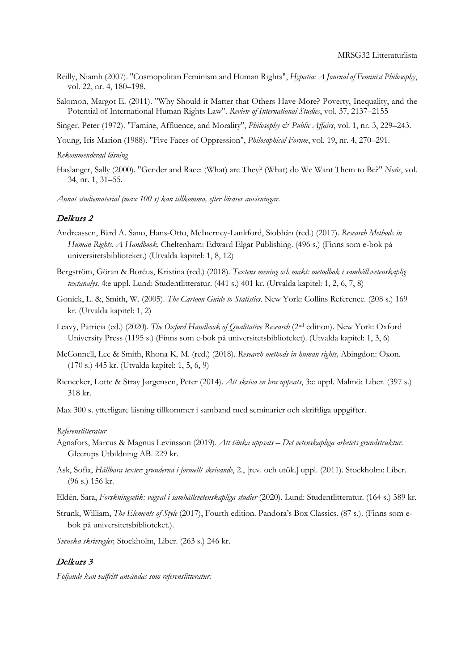- Reilly, Niamh (2007). "Cosmopolitan Feminism and Human Rights", *Hypatia: A Journal of Feminist Philosophy*, vol. 22, nr. 4, 180–198.
- Salomon, Margot E. (2011). "Why Should it Matter that Others Have More? Poverty, Inequality, and the Potential of International Human Rights Law". *Review of International Studies*, vol. 37, 2137–2155

Singer, Peter (1972). "Famine, Affluence, and Morality", *Philosophy & Public Affairs*, vol. 1, nr. 3, 229–243.

Young, Iris Marion (1988). "Five Faces of Oppression", *Philosophical Forum*, vol. 19, nr. 4, 270–291.

*Rekommenderad läsning*

Haslanger, Sally (2000). "Gender and Race: (What) are They? (What) do We Want Them to Be?" *Noûs*, vol. 34, nr. 1, 31–55.

*Annat studiematerial (max 100 s) kan tillkomma, efter lärares anvisningar.*

## Delkurs 2

- Andreassen, Bård A. Sano, Hans-Otto, McInerney-Lankford, Siobhán (red.) (2017). *Research Methods in Human Rights. A Handbook*. Cheltenham: Edward Elgar Publishing. (496 s.) (Finns som e-bok på universitetsbiblioteket.) (Utvalda kapitel: 1, 8, 12)
- Bergström, Göran & Boréus, Kristina (red.) (2018)*. Textens mening och makt: metodbok i samhällsvetenskaplig textanalys,* 4:e uppl. Lund: Studentlitteratur. (441 s.) 401 kr. (Utvalda kapitel: 1, 2, 6, 7, 8)
- Gonick, L. &, Smith, W. (2005). *The Cartoon Guide to Statistics*. New York: Collins Reference. (208 s.) 169 kr. (Utvalda kapitel: 1, 2)
- Leavy, Patricia (ed.) (2020). *The Oxford Handbook of Qualitative Research* (2nd edition). New York: Oxford University Press (1195 s.) (Finns som e-bok på universitetsbiblioteket). (Utvalda kapitel: 1, 3, 6)
- McConnell, Lee & Smith, Rhona K. M. (red.) (2018). *Research methods in human rights,* Abingdon: Oxon. (170 s.) 445 kr. (Utvalda kapitel: 1, 5, 6, 9)
- Rienecker, Lotte & Stray Jørgensen, Peter (2014). *Att skriva en bra uppsats*, 3:e uppl. Malmö: Liber. (397 s.) 318 kr.

Max 300 s. ytterligare läsning tillkommer i samband med seminarier och skriftliga uppgifter.

## *Referenslitteratur*

- Agnafors, Marcus & Magnus Levinsson (2019). *Att tänka uppsats Det vetenskapliga arbetets grundstruktur.*  Gleerups Utbildning AB. 229 kr.
- Ask, Sofia, *Hållbara texter: grunderna i formellt skrivande*, 2., [rev. och utök.] uppl. (2011). Stockholm: Liber. (96 s.) 156 kr.
- Eldén, Sara, *Forskningsetik: vägval i samhällsvetenskapliga studier* (2020). Lund: Studentlitteratur. (164 s.) 389 kr.
- Strunk, William, *The Elements of Style* (2017), Fourth edition. Pandora's Box Classics. (87 s.). (Finns som ebok på universitetsbiblioteket.).

*Svenska skrivregler,* Stockholm, Liber. (263 s.) 246 kr.

## Delkurs 3

*Följande kan valfritt användas som referenslitteratur:*